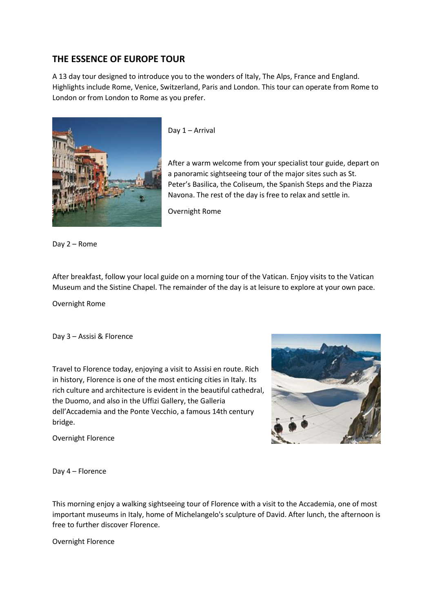## **THE ESSENCE OF EUROPE TOUR**

A 13 day tour designed to introduce you to the wonders of Italy, The Alps, France and England. Highlights include Rome, Venice, Switzerland, Paris and London. This tour can operate from Rome to London or from London to Rome as you prefer.



Day 1 – Arrival

After a warm welcome from your specialist tour guide, depart on a panoramic sightseeing tour of the major sites such as St. Peter's Basilica, the Coliseum, the Spanish Steps and the Piazza Navona. The rest of the day is free to relax and settle in.

Overnight Rome

Day 2 – Rome

After breakfast, follow your local guide on a morning tour of the Vatican. Enjoy visits to the Vatican Museum and the Sistine Chapel. The remainder of the day is at leisure to explore at your own pace.

Overnight Rome

Day 3 – Assisi & Florence

Travel to Florence today, enjoying a visit to Assisi en route. Rich in history, Florence is one of the most enticing cities in Italy. Its rich culture and architecture is evident in the beautiful cathedral, the Duomo, and also in the Uffizi Gallery, the Galleria dell'Accademia and the Ponte Vecchio, a famous 14th century bridge.



Overnight Florence

Day 4 – Florence

This morning enjoy a walking sightseeing tour of Florence with a visit to the Accademia, one of most important museums in Italy, home of Michelangelo's sculpture of David. After lunch, the afternoon is free to further discover Florence.

Overnight Florence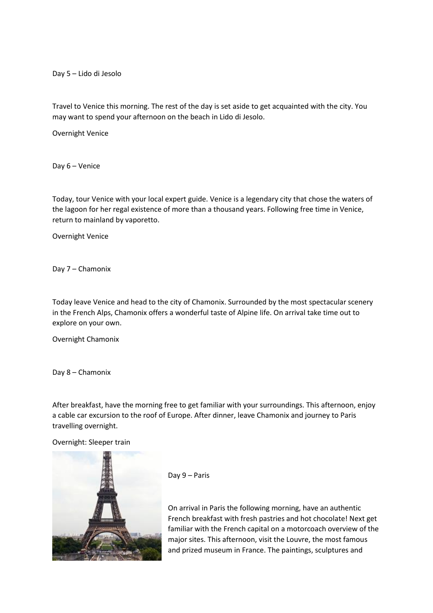Day 5 – Lido di Jesolo

Travel to Venice this morning. The rest of the day is set aside to get acquainted with the city. You may want to spend your afternoon on the beach in Lido di Jesolo.

Overnight Venice

Day 6 – Venice

Today, tour Venice with your local expert guide. Venice is a legendary city that chose the waters of the lagoon for her regal existence of more than a thousand years. Following free time in Venice, return to mainland by vaporetto.

Overnight Venice

Day 7 – Chamonix

Today leave Venice and head to the city of Chamonix. Surrounded by the most spectacular scenery in the French Alps, Chamonix offers a wonderful taste of Alpine life. On arrival take time out to explore on your own.

Overnight Chamonix

Day 8 – Chamonix

After breakfast, have the morning free to get familiar with your surroundings. This afternoon, enjoy a cable car excursion to the roof of Europe. After dinner, leave Chamonix and journey to Paris travelling overnight.

Overnight: Sleeper train



Day 9 – Paris

On arrival in Paris the following morning, have an authentic French breakfast with fresh pastries and hot chocolate! Next get familiar with the French capital on a motorcoach overview of the major sites. This afternoon, visit the Louvre, the most famous and prized museum in France. The paintings, sculptures and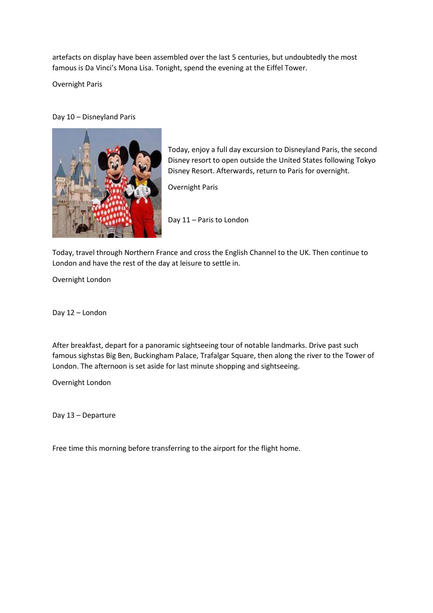artefacts on display have been assembled over the last 5 centuries, but undoubtedly the most famous is Da Vinci's Mona Lisa. Tonight, spend the evening at the Eiffel Tower.

Overnight Paris

Day 10 – Disneyland Paris



Today, enjoy a full day excursion to Disneyland Paris, the second Disney resort to open outside the United States following Tokyo Disney Resort. Afterwards, return to Paris for overnight.

Overnight Paris

Day 11 – Paris to London

Today, travel through Northern France and cross the English Channel to the UK. Then continue to London and have the rest of the day at leisure to settle in.

Overnight London

Day 12 – London

After breakfast, depart for a panoramic sightseeing tour of notable landmarks. Drive past such famous sighstas Big Ben, Buckingham Palace, Trafalgar Square, then along the river to the Tower of London. The afternoon is set aside for last minute shopping and sightseeing.

Overnight London

Day 13 – Departure

Free time this morning before transferring to the airport for the flight home.